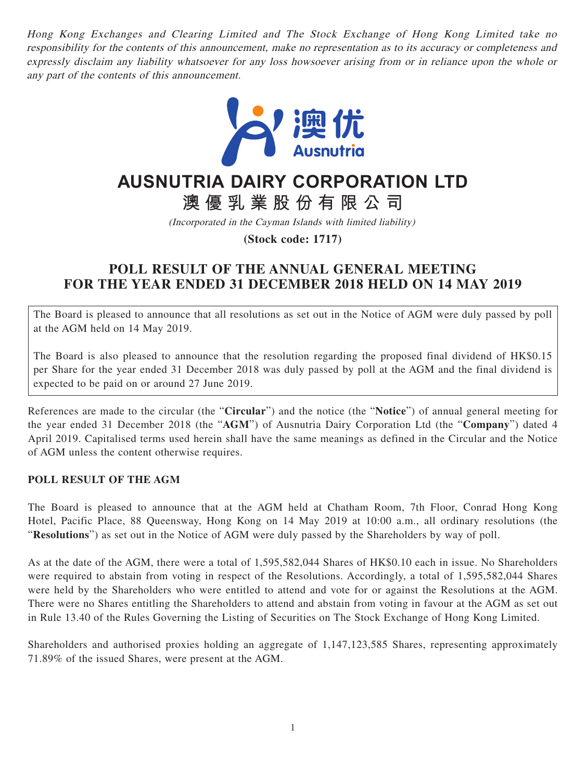Hong Kong Exchanges and Clearing Limited and The Stock Exchange of Hong Kong Limited take no responsibility for the contents of this announcement, make no representation as to its accuracy or completeness and expressly disclaim any liability whatsoever for any loss howsoever arising from or in reliance upon the whole or any part of the contents of this announcement.



## **AUSNUTRIA DAIRY CORPORATION LTD**

# **澳優乳業股份有限公司**

(Incorporated in the Cayman Islands with limited liability)

**(Stock code: 1717)**

### **POLL RESULT OF THE ANNUAL GENERAL MEETING FOR THE YEAR ENDED 31 DECEMBER 2018 HELD ON 14 MAY 2019**

The Board is pleased to announce that all resolutions as set out in the Notice of AGM were duly passed by poll at the AGM held on 14 May 2019.

The Board is also pleased to announce that the resolution regarding the proposed final dividend of HK\$0.15 per Share for the year ended 31 December 2018 was duly passed by poll at the AGM and the final dividend is expected to be paid on or around 27 June 2019.

References are made to the circular (the "**Circular**") and the notice (the "**Notice**") of annual general meeting for the year ended 31 December 2018 (the "**AGM**") of Ausnutria Dairy Corporation Ltd (the "**Company**") dated 4 April 2019. Capitalised terms used herein shall have the same meanings as defined in the Circular and the Notice of AGM unless the content otherwise requires.

### **POLL RESULT OF THE AGM**

The Board is pleased to announce that at the AGM held at Chatham Room, 7th Floor, Conrad Hong Kong Hotel, Pacific Place, 88 Queensway, Hong Kong on 14 May 2019 at 10:00 a.m., all ordinary resolutions (the "**Resolutions**") as set out in the Notice of AGM were duly passed by the Shareholders by way of poll.

As at the date of the AGM, there were a total of 1,595,582,044 Shares of HK\$0.10 each in issue. No Shareholders were required to abstain from voting in respect of the Resolutions. Accordingly, a total of 1,595,582,044 Shares were held by the Shareholders who were entitled to attend and vote for or against the Resolutions at the AGM. There were no Shares entitling the Shareholders to attend and abstain from voting in favour at the AGM as set out in Rule 13.40 of the Rules Governing the Listing of Securities on The Stock Exchange of Hong Kong Limited.

Shareholders and authorised proxies holding an aggregate of 1,147,123,585 Shares, representing approximately 71.89% of the issued Shares, were present at the AGM.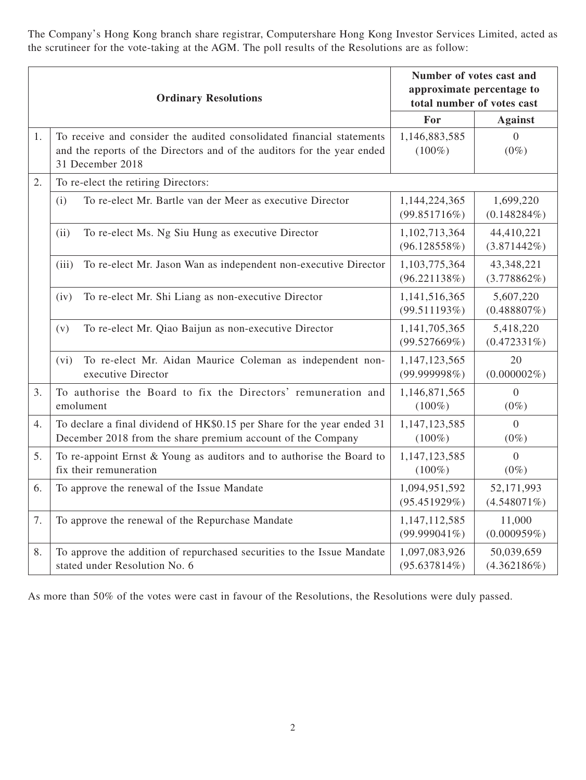The Company's Hong Kong branch share registrar, Computershare Hong Kong Investor Services Limited, acted as the scrutineer for the vote-taking at the AGM. The poll results of the Resolutions are as follow:

| <b>Ordinary Resolutions</b> |                                                                                                                                                                      | Number of votes cast and<br>approximate percentage to<br>total number of votes cast |                              |
|-----------------------------|----------------------------------------------------------------------------------------------------------------------------------------------------------------------|-------------------------------------------------------------------------------------|------------------------------|
|                             |                                                                                                                                                                      | For                                                                                 | <b>Against</b>               |
| 1.                          | To receive and consider the audited consolidated financial statements<br>and the reports of the Directors and of the auditors for the year ended<br>31 December 2018 | 1,146,883,585<br>$(100\%)$                                                          | $\theta$<br>$(0\%)$          |
| 2.                          | To re-elect the retiring Directors:                                                                                                                                  |                                                                                     |                              |
|                             | To re-elect Mr. Bartle van der Meer as executive Director                                                                                                            | 1,144,224,365                                                                       | 1,699,220                    |
|                             | (i)                                                                                                                                                                  | (99.851716%)                                                                        | $(0.148284\%)$               |
|                             | (ii)                                                                                                                                                                 | 1,102,713,364                                                                       | 44,410,221                   |
|                             | To re-elect Ms. Ng Siu Hung as executive Director                                                                                                                    | (96.128558%)                                                                        | (3.871442%)                  |
|                             | To re-elect Mr. Jason Wan as independent non-executive Director                                                                                                      | 1,103,775,364                                                                       | 43,348,221                   |
|                             | (iii)                                                                                                                                                                | (96.221138%)                                                                        | (3.778862%)                  |
|                             | To re-elect Mr. Shi Liang as non-executive Director                                                                                                                  | 1,141,516,365                                                                       | 5,607,220                    |
|                             | (iv)                                                                                                                                                                 | (99.511193%)                                                                        | $(0.488807\%)$               |
|                             | To re-elect Mr. Qiao Baijun as non-executive Director                                                                                                                | 1,141,705,365                                                                       | 5,418,220                    |
|                             | (v)                                                                                                                                                                  | (99.527669%)                                                                        | (0.472331%)                  |
|                             | To re-elect Mr. Aidan Maurice Coleman as independent non-<br>(vi)<br>executive Director                                                                              | 1,147,123,565<br>(99.999998%)                                                       | 20<br>$(0.000002\%)$         |
| 3.                          | To authorise the Board to fix the Directors' remuneration and                                                                                                        | 1,146,871,565                                                                       | $\overline{0}$               |
|                             | emolument                                                                                                                                                            | $(100\%)$                                                                           | $(0\%)$                      |
| 4.                          | To declare a final dividend of HK\$0.15 per Share for the year ended 31                                                                                              | 1,147,123,585                                                                       | $\Omega$                     |
|                             | December 2018 from the share premium account of the Company                                                                                                          | $(100\%)$                                                                           | $(0\%)$                      |
| 5.                          | To re-appoint Ernst & Young as auditors and to authorise the Board to                                                                                                | 1,147,123,585                                                                       | $\Omega$                     |
|                             | fix their remuneration                                                                                                                                               | $(100\%)$                                                                           | $(0\%)$                      |
| 6.                          | To approve the renewal of the Issue Mandate                                                                                                                          | 1,094,951,592<br>(95.451929%)                                                       | 52,171,993<br>$(4.548071\%)$ |
| 7.                          | To approve the renewal of the Repurchase Mandate                                                                                                                     | 1,147,112,585<br>$(99.999041\%)$                                                    | 11,000<br>(0.000959%)        |
| 8.                          | To approve the addition of repurchased securities to the Issue Mandate                                                                                               | 1,097,083,926                                                                       | 50,039,659                   |
|                             | stated under Resolution No. 6                                                                                                                                        | $(95.637814\%)$                                                                     | $(4.362186\%)$               |

As more than 50% of the votes were cast in favour of the Resolutions, the Resolutions were duly passed.